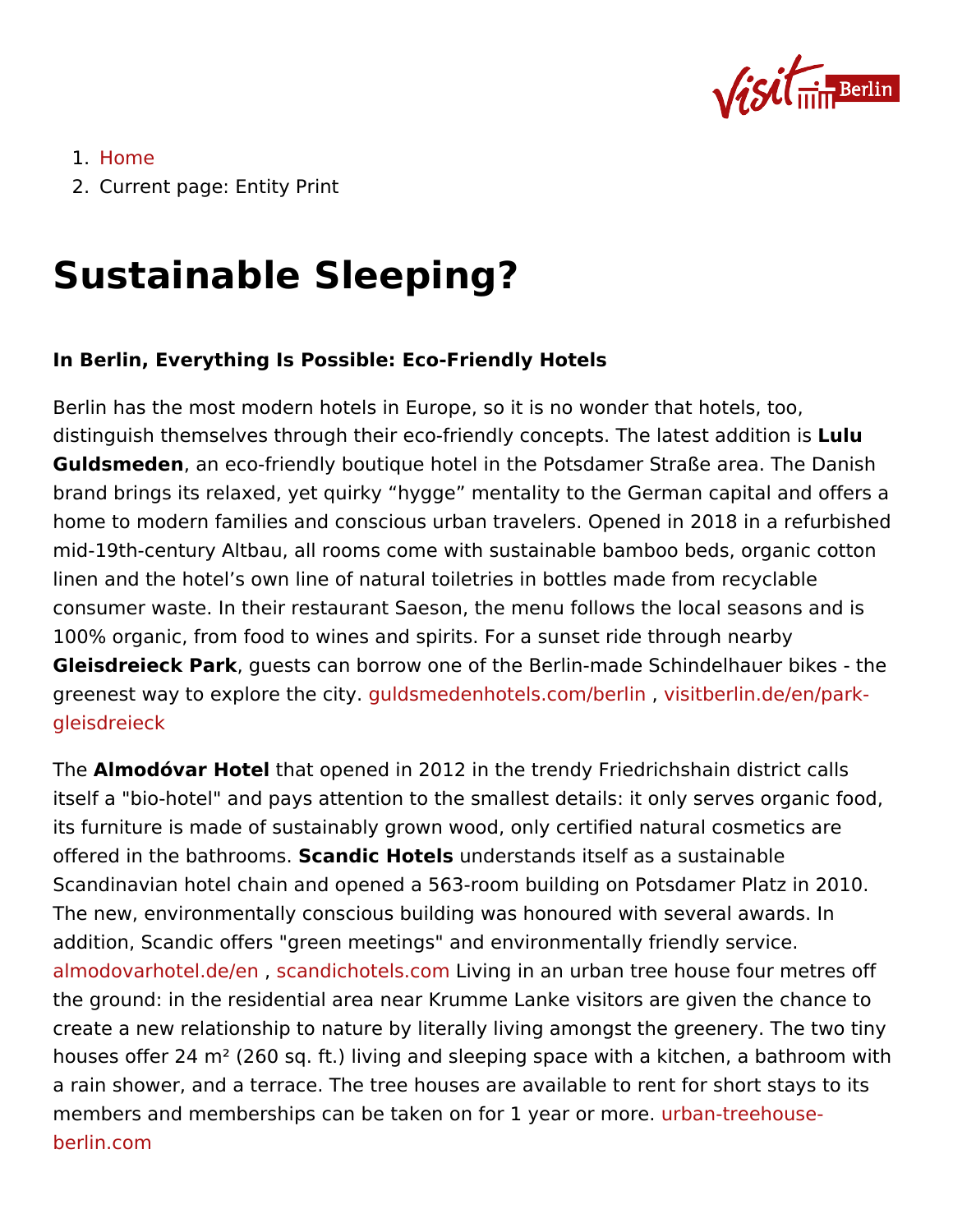## 1.[Hom](https://about.visitberlin.de/en)e

2. Current pagetity Print

## Sustainable Sleeping?

In Berlin, Everything Is Possible: Eco-Friendly Hotels

Berlin has the most modern hotels in Europe, so it is no wonder that distinguish themselves through their eco-friendly concept sululu lat Guldsmedenan eco-friendly boutique hotel in the Potsdamer Straße brand brings its relaxed, yet quirky hygge mentality to the Germa home to modern families and conscious urban travelers. Opened in mid-19th-century Altbau, all rooms come with sustainable bamboo b linen and the hotel s own line of natural toiletries in bottles made consumer waste. In their restaurant Saeson, the menu follows the I 100% organic, from food to wines and spirits. For a sunset ride thr Gleisdreieck Pagkests can borrow one of the Berlin-made Schindelh greenest way to exploregtuhlelsomiteydenhotels.com/biseintlibinerlin.de/en/park[gleisdre](https://www.visitberlin.de/en/park-gleisdreieck)ieck

The Almodóvar Hottehlat opened in 2012 in the trendy Friedrichshain d itself a "bio-hotel" and pays attention to the smallest details: it on its furniture is made of sustainably grown wood, only certified natu offered in the bath**\$cams**ic Hoteul**s** derstands itself as a sustainable Scandinavian hotel chain and opened a 563-room building on Potsd The new, environmentally conscious building was honoured with sev addition, Scandic offers "green meetings" and environmentally frier  $a$ lmodovarhotel.d $\mathbf{z}$ dandichotels $\mathsf{L}$ d $\dot{\mathsf{u}}$ m qin an urban tree house four me the ground: in the residential area near Krumme Lanke visitors are create a new relationship to nature by literally living amongst the g houses offer 24  $m<sup>2</sup>$  (260 sq. ft.) living and sleeping space with a ki a rain shower, and a terrace. The tree houses are available to rent members and memberships can be taken on fourbay neatrecerhonuse[berlin.c](https://www.urban-treehouse-berlin.com)om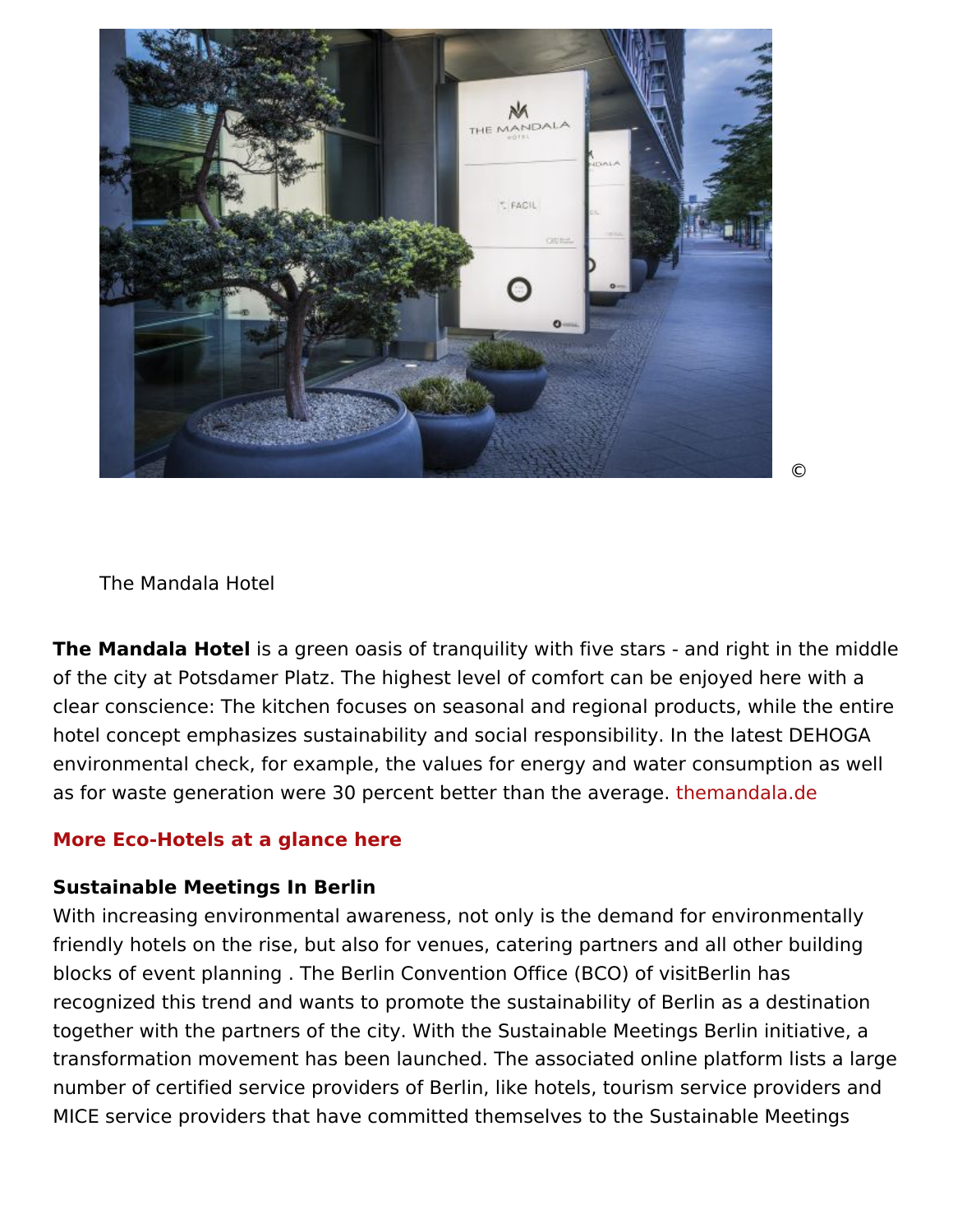With increasing environmental awareness, not only is the demand  $f(x)$ friendly hotels on the rise, but also for venues, catering partners a blocks of event planning . The Berlin Convention Office (BCO) of vi recognized this trend and wants to promote the sustainability of Be together with the partners of the city. With the Sustainable Meeting transformation movement has been launched. The associated online number of certified service providers of Berlin, like hotels, tourism MICE service providers that have committed themselves to the Sust

## [More Eco-Hotels at a glan](https://www.visitberlin.de/en/eco-hotels-sustainable-accomodation-berlin)ce here

Sustainable Meetings In Berlin

The Mandala Hoitsela green oasis of tranquility with five stars - and of the city at Potsdamer Platz. The highest level of comfort can be clear conscience: The kitchen focuses on seasonal and regional pro hotel concept emphasizes sustainability and social responsibility. I environmental check, for example, the values for energy and water as for waste generation were 30 percent betterthheamanholealaaveleage.

The Mandala Hotel

©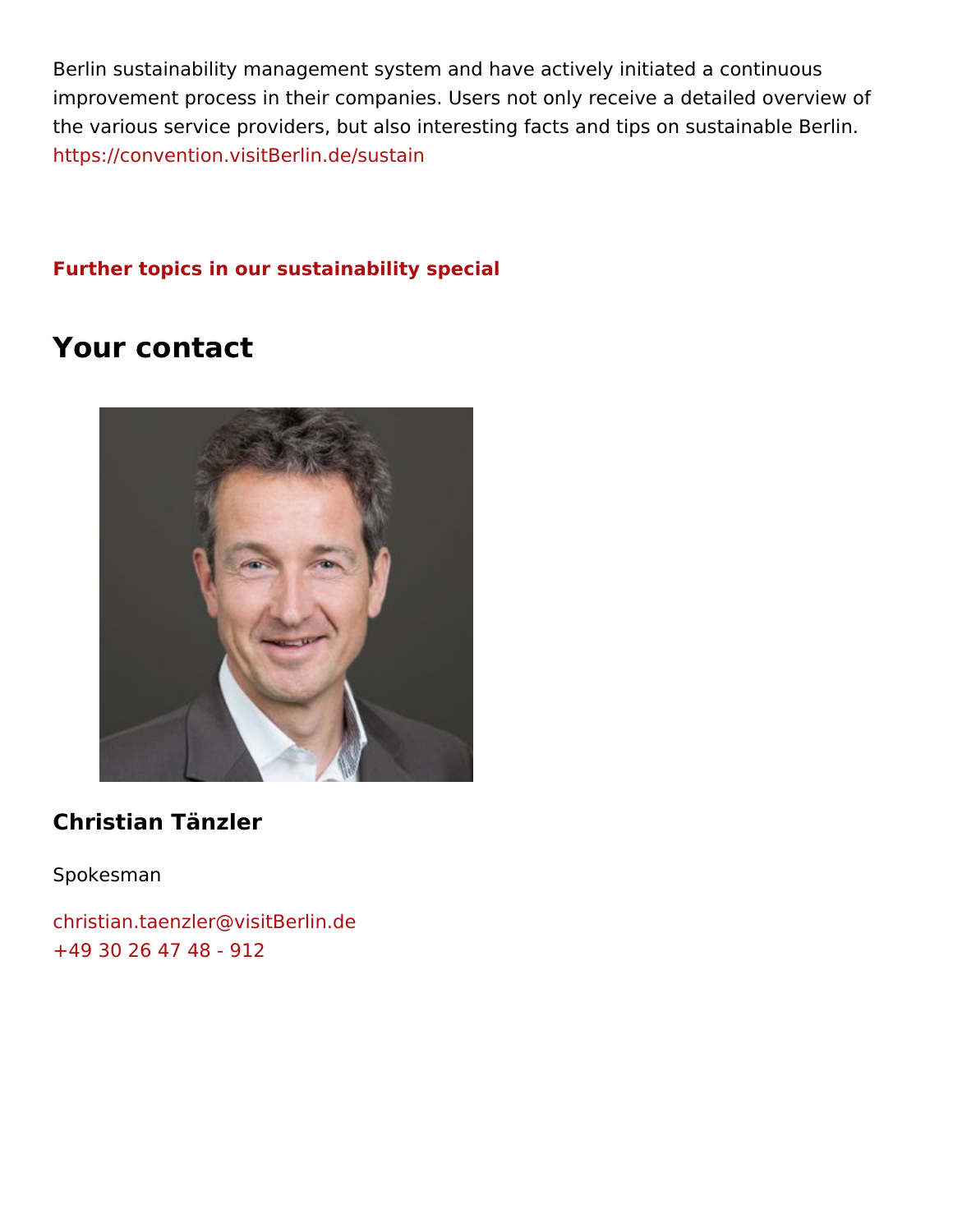Berlin sustainability management system and have actively initiated improvement process in their companies. Users not only receive a d the various service providers, but also interesting facts and tips or [https://convention.visitBerli](https://convention.visitBerlin.de/sustain)n.de/sustain

[Further topics in our sustainabilit](https://about.visitberlin.de/en/green-berlin)y special

## Your contact

Christian Tänzler

Spokesman

[christian.taenzler@visi](mailto:christian.taenzler@visitBerlin.de)tBerlin.de [+49 30 26 47 48](tel:+4930264748-912) - 912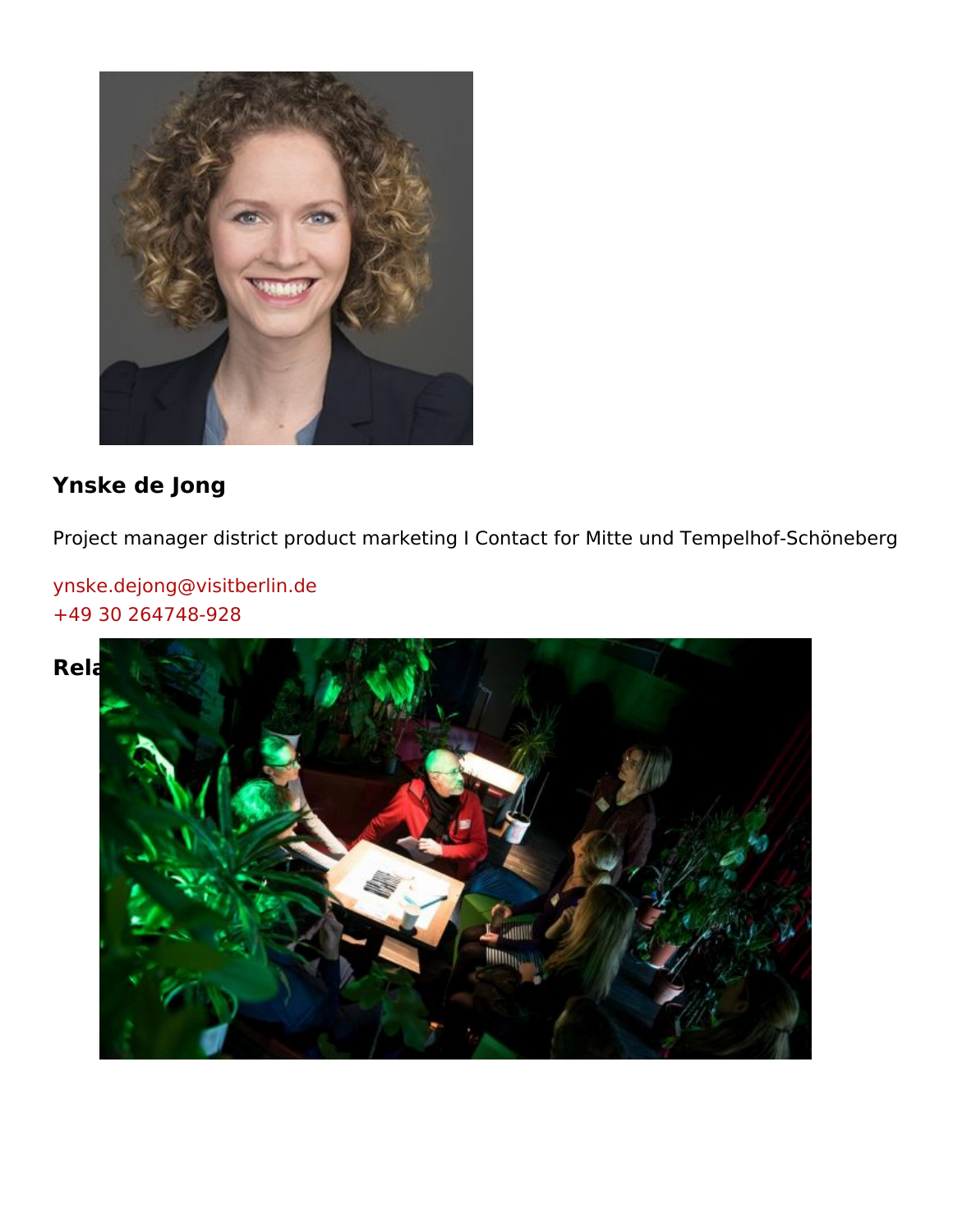Ynske de Jong

Project manager district product marketing I Contact for Mitte und

[ynske.dejong@visitb](mailto:ynske.dejong@visitberlin.de)erlin.de [+49 30 264748](tel:+4930264748-928)-928

Related Posts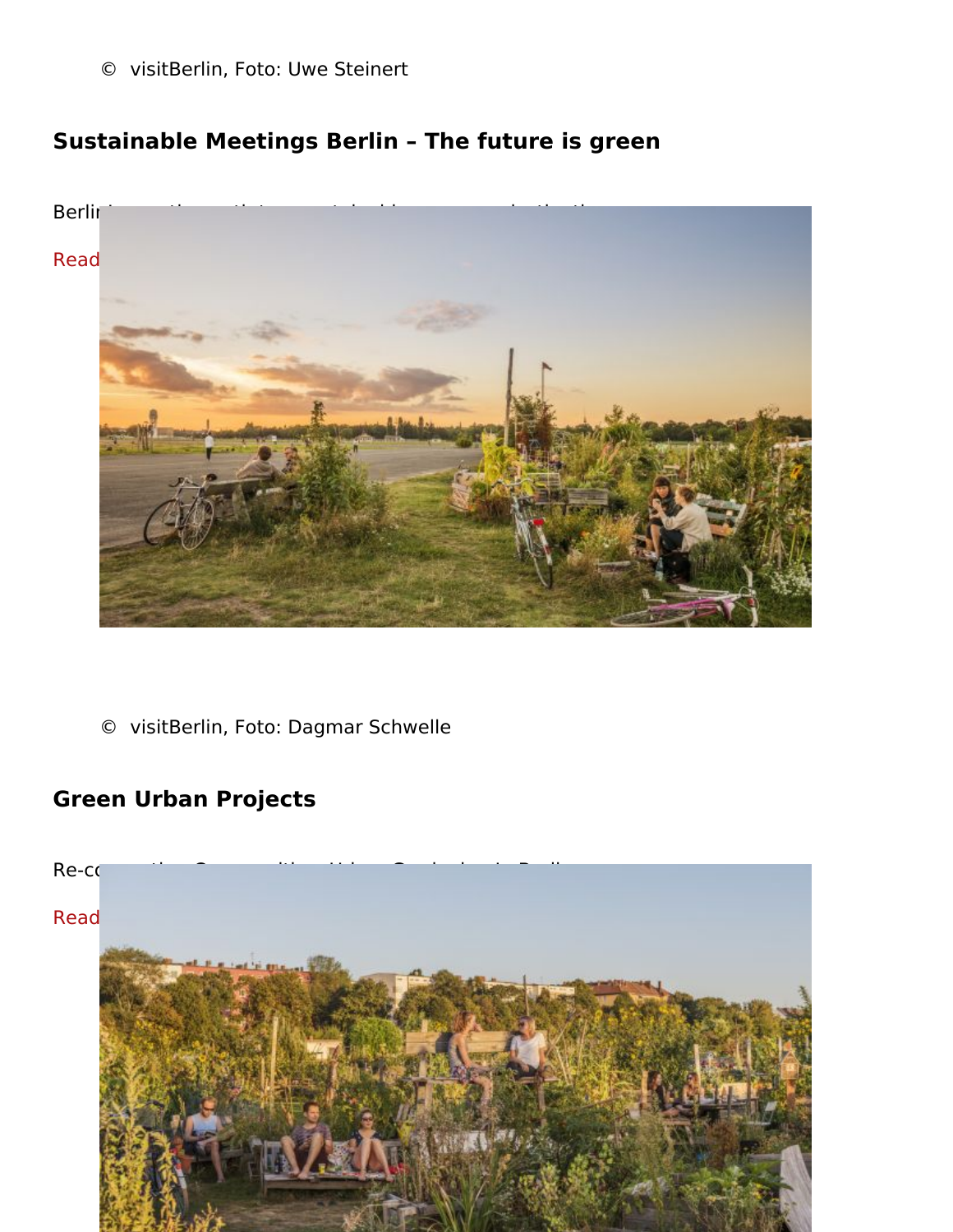© visitBerlin, Foto: Uwe Steinert

Sustainable Meetings Berlin The future is green

Berlin s creative path to a sustainable congress destination [Read mo](https://about.visitberlin.de/en/sustainable-meetings-berlin-future-green)re

© visitBerlin, Foto: Dagmar Schwelle

Green Urban Projects

Re-connecting Communities: Urban Gardening In Berlin

[Read mo](https://about.visitberlin.de/en/green-urban-projects)re